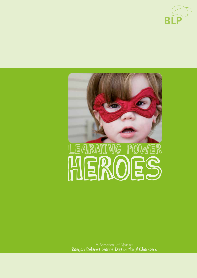



Raegan Delaney, Leanne Day and Maryl Chambers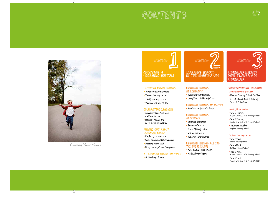# CONTENTS



Learning Power Heroes

# **SECTION:** 1 Creating A LEARNING CULTURE

#### Learning Power Heroes

- Imaginary Learning Heroes
- Famous Learning Heroes
- Family Learning Heroes
- Pupils as Learning Heroes

#### Celebrating Learning

- Learning-Power Assemblies and Star Books
- Boaster Posters and Other Celebration Ideas

#### Finding out about learning power

- Exploring Perseverance
- Using Interactive Learning Walls
- Learning-Power Tools
- Using Learning-Power Scrapbooks

### A learning power Culture

• A Miscellany of Ideas



#### Learning Heroes in literacy

- Improving Story Writing
- Using Fables, Myths and Comics

#### Learning Heroes in maths

• An Outdoor Maths Challenge

#### Learning Heroes in Science

- Scientist Motivators
- Detective Science
- Murder Mystery Science
- Visiting Scientists
- Imaginary Experiments

#### Learning Heroes ACROSS the Curriculum

- A Cross-Curricular Project
- A Miscellany of Ideas



6/7

#### Transforming Learning Learning Hero Headteachers

- Nayland Primary School, Suffolk
- Christ Church C of E Primary School, Folkestone

#### Learning Hero Teachers

- Year 6 Teacher, Christ Church C of E Primary School
- Year 6 Teacher, Christ Church C of E Primary School
- Reception Teacher, Nayland Primary School

#### Pupils as Learning Heroes

- Year 2 Pupil, Bures Primary School
- Year 4 Pupil, Nayland Primary School
- Year 6 Pupil, Christ Church C of E Primary School
- Year 6 Pupil, Christ Church C of E Primary School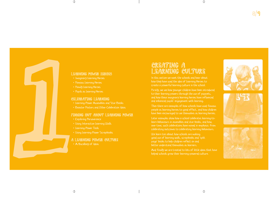

# Learning Power Heroes

- Imaginary Learning Heroes
- Famous Learning Heroes
- Family Learning Heroes
- Pupils as Learning Heroes

## CELEBRATING LEARNING

- Learning-Power Assemblies and Star Books
- Boaster Posters and Other Celebration Ideas

# Finding out about learning power

- Exploring Perseverance
- Using Interactive Learning Walls
- Learning-Power Tools
- Using Learning-Power Scrapbooks

# CREATING A LEARNING CULTURE

In this section we meet the schools and hear about how they have used the idea of Learning Heroes to create a powerful learning culture in the school.

Firstly, we see how younger children have been introduced to their learning powers through the use of puppets, and how these imaginary learning heroes have influenced and enhanced pupils' engagement with learning.

Then there are examples of how schools have used famous people as learning heroes to good effect, and how children have been encouraged to see themselves as learning heroes.

Later examples show how a school celebrates learning-tolearn behaviours in assemblies and star books, and how, over time, such celebrations have moved in emphasis: from celebrating outcomes to celebrating learning behaviours.

We learn too about how schools are making good use of learning walls, scrapbooks and 'split page' books to help children reflect on and better understand themselves as learners.

And finally we are treated to lots of little ideas that have helped schools grow their learning-powered culture.



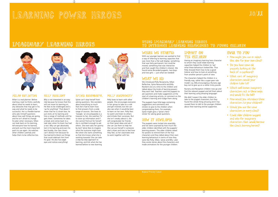# LEARNING POWER HEROES 10/11

# imaginary learning heroes



Sylvie Resourceful

### Milan Reflective

Milan is a real planner. Before starting a task he thinks carefully about what he needs to learn, any obstacles that may get in his way and what he needs to be successful. He is a flexible learner who asks himself questions about how well things are going, and he isn't afraid to change his plan when necessary. Milan can look back on his learning, tell everyone how he learned, and pick out the most important parts to use again. He watches other children carefully and helps them to be reflective too.

### Billy Resilient

Billy is not interested in an easy ride because he knows that this will not move his learning on. He likes to be challenged and is 'up for anything!' That doesn't mean that he is a brain box; he just sticks at his learning and tries a range of methods until he gets there. Sometimes he takes a break and comes back to a task later when his brain has had a rest. Billy can get absolutely lost in his learning and even his best buddy, the class clown, can't distract him because he has learned to block out things that could sidetrack him from his goal. He also has eagle eyes and notices everything! Sylvie can't stop herself from asking questions. She wonders about everything so much that she's had to learn how to find answers from a wide range of sources. She loves to 'Google,' an encyclopaedia is a treasure to her, she watches TV to store up information and if she cannot find out for herself she is confident enough to ask others. She even asks her granny by text! Sylvie likes to imagine what the outcome might look like when she starts something so that she knows what she is working towards! She can take a step-by-step approach to learning, and link what she has learned before to new learning.

### POLLY RECIPROCITY

Polly loves to learn with other people. She encourages everyone in her group to take on a role and get involved, but she can also see when it would be best to learn on her own. Polly likes to watch and listen to others and imitate their successes. But she isn't sneaky about it, she will congratulate her friends on their great ideas and ask if she can use them to help her. She can put herself in someone else's shoes and tries to feel how they feel, so her classmates love to work together with her.

### Using Imaginary Learning Heroes to Introduce Learning Behaviours to Young Children

# WHERE WE STARTED

With our younger learners we wanted to find a way of referring to learning capacities that was more than a flat wall display: something that was fairly permanent, but could be moved; something that was interactive and that caught the children's interest. We found some discarded puppets, two boys and two girls — just what we needed!

# WHAT WE DID

We introduced Polly Reciprocity, Milan Reflective, Sylvie Resourceful and Billy Resilient one at a time to the children and talked about the kinds of learning powers they each had. Teachers used the puppets to ask questions and make suggestions at the start of a learning activity, or comment on the children's learning and nudge them along.

The puppets have little bags containing suggestions and comments and stickers to give to the children when congratulating them. For example, Sylvie might give a 'Sylvie's Hero' sticker for asking great questions.

# HOW it DEVELOPED

The puppets were invited into assembly, and we were surprised by how much the older children identified with the puppets' learning powers. The older children asked for posters to remind them of the four characters and they talked about their own learning behaviours in terms of how they were like Polly, Milan, Sylvie and Billy. Later they wrote stories about the characters and made animations for the younger children.

# IMPACT ON THE CHILDREN

Having an imaginary learning hero character to whom they could relate learning capacities helped the children to 'see' what these behaviours looked like. Thus Polly showed them how to be a good listener and how to look at something from another person's point of view.

The characters helped the children in a friendly way, rather like a super-peer role model: e.g. Billy encouraging a Nursery age boy not to give up on a rather tricky puzzle.

Nursery and Reception children now go and find the relevant puppet and tell them about their learning using amazing language!

We didn't expect the older children to take to the puppet characters; but they found the whole thing amusing and it has caused them to talk to the younger children about their learning and be supportive.

# OVER TO YOU

- How might you use or adapt this idea for your own class?
- Do you have some old puppets lurking at the back of a cupboard?
- What sort of imaginary characters would your children take to?
- Which well-known imaginary characters act in these ways and would fit the bill?
- How would you introduce these characters to your children?
- Would you use the same characters in every class?
- Could older children suggest and vote for imaginary characters that would become the class's learning heroes?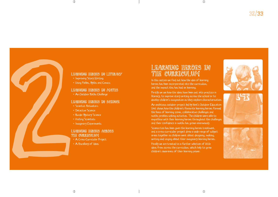

# Learning Heroes in literacy

- Improving Story Writing
- Using Fables, Myths and Comics

# Learning Heroes in maths

• An Outdoor Maths Challenge

### LEARNING HEROES IN SCIENCE

- Scientist Motivators
- Detective Science
- Murder Mystery Science
- Visiting Scientists
- Imaginary Experiments

# Learning Heroes across the curriculum

- 
- 

# Learning heroes in the curriculum

In this section we find out how the idea of learning heroes has been incorporated into the curriculum, and the impact this has had on learning.

Firstly we see how the ideas have been put into practice in literacy, to improve story writing across the school or to develop children's imagination as they explore characterisation.

An ambitious outdoor project led by Kent's Outdoor Education Unit shows how the children's favourite learning heroes formed the basis of learning zones, collaborative challenges and maths problem-solving activities. The children were able to empathise with their learning heroes throughout the challenges and their confidence in maths has grown enormously.

Science too has been given the learning heroes treatment, and a cross-curricular project drew a wide range of subject areas together as children went about designing, making, writing and singing about their imaginary learning heroes.

Finally we are treated to a further selection of little ideas from across the curriculum, which help to grow children's awareness of their learning power.





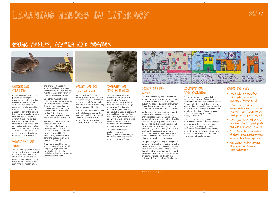# LEARNING HEROES IN LITERACY 36/37

# Using FABLES, MYTHS AND COMICS



# WHERE WE **STARTED**

In Year 5 we wanted to focus primarily on developing resourcefulness with the children in Literacy. Using warm-ups, as described on page 13, resourceful learning capacities were introduced at the start of a lesson as part of the learning intention: for example, to make links between characters in different fables. The children began by exploring heroes, collecting pictures of their own role models and making notes about their own resourcefulness. As a class they created mobiles that celebrated and explained resourceful characteristics.

## WHAT WE DID Fables

The first unit explored was Fables. We use the integrated approach to Literacy and so follow the structure of reading, analysis, capturing ideas and writing. After reading a range of fables and identifying their organisational



different fables were to meet. Using their imagination the children created new experiences for the tortoise and the hare. They were given questions to consider such as 'What might happen if the fox intercepted the hare?' The children

and decide which was the best. Keeping within the characteristics previously identified, the children thought about how the characters might feel, what they might do, and what the outcome could be. They shared ideas, listened to each

collaborated to generate ideas,

They then selected their best idea and planned the new fable using story maps. From this they built up the story from modelled, scribed, and supported to independent writing.

other and decided to create a role-play of their solution.



# WHAT WE DID Myths and Legends

Moving on from fables we encouraged the children to think about how Odysseus might have been resourceful. They thought about his qualities and skills using their knowledge of the character.

From this they designed their own mythical character, again with a focus on them being resourceful. Their new character was then to meet Odysseus; allowing the children to plan for a new myth.

### Impact on the children The children's enthusiasm

for learning has developed considerably. They are able to reflect on and apply resourceful learning behaviours in a range of contexts. This, in conjunction with the integrated teaching approach, has had a direct impact on the children's writing. Their fables and myths are imaginative and well planned; truly exploring character has allowed them to reflect on what they might do in different contexts.

The children are able to explain clearly how they are learning, and are developing an impressive range of strategies to help them move forward.



# WHAT WE DID **Comics**

Our work on learning heroes linked well with our book week where we were asking children to write in the style of a given author. We decided to explore the work of Roger Hargreaves and produce comics in the style of the Mr Men and Little Miss stories.

Whilst reading Mr Men stories we looked at extending the children's knowledge of characterisation through learning heroes. We considered what traits, skills and qualities Little Miss Reciprocity would have. Paired talk allowed children to delve deeper and decide how the characters might show their learning power in a range of contexts. We thought about settings, plot, and actions the character might take in each different element. This allowed for lots of powerful vocabulary development.

Using role play, hot-seating and telephone conversations with the characters we built a clearer picture of how the characters might behave. This in turn enabled the children to capture ideas for writing. We then used the Mr Men theme to create comics based on learning heroes. The children chose between Mr Resourceful and Miss Resilient.

# Impact on the children

The children were really excited about writing the comics and felt personally attached to the characters they had created. Strong understanding of characterisation enabled them to spend more time focusing on structure, organisation and layout, and developing the style of Roger Hargreaves. The quality of writing improved greatly as a result.

The children also have a greater understanding of the capacities: they can now recognise the learning behaviours they are using in everyday situations and identify improvements they need to make. They use the language of learning in their class discussions and describe themselves in these terms too.

# OVER TO YOU

- How could you introduce learning heroes when planning a literacy unit?
- Which story characters exemplify learning capacities you have identified as needing development in your children?
- Could you invite real heroes into the school to develop, for example, newspaper reports?
- Could the children interview the hero using questions that explore their learning power?
- How about children writing biographies of famous learning heroes?

Staplehurst Primary School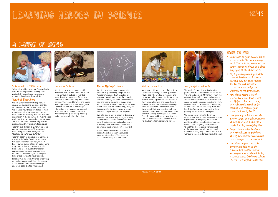# LEARNING HEROES IN SCIENCE <sup>42</sup>/<sup>43</sup> LEARNING HEROES IN SCIENCE

# A RANGE OF IDEAS



#### Science with a Difference Science is a subject area that fits seamlessly with the development of learning skills, particularly in developing the capacity to reason, imagine and make links.

#### Scientist Motivators

We assign certain scientists to particular science topic areas and use these scientists as motivators for the children's learning. We consider how the scientists had to relish a challenge, link knowledge together, see what pieces were missing and then use their imagination in deciding what the missing piece might be. Scientists have to be great planners and adapters and sometimes they work in partnership with other scientists or experts.

Teachers said things like *'What would Louis Pasteur have done when his experiment went wrong, would he have given up? Would he have changed it slightly?'* 

Teachers began to assess science learning in the voice of Charles Darwin when children had been categorising animals, or as Sir Isaac Newton during a topic on forces. Using a big picture of an appropriate scientific hero and a speech bubble the teachers appear around the classroom, comment on the children's learning so far and give hints or tips on how to move forward.

Empathy muscles were stretched by carrying out an investigation as if the children were Albert Einstein. Some crazy white wigs and white coats created atmosphere!



#### Detective Science…

Scientists have a lot in common with detectives. The children found out about some famous detectives or invented some detective characters of their own and then used these to help with science learning. They looked for clues and pieced them together in a scientific investigation. They had to interview others to get information and compare one account to another for anomalies. They were developing their questioning, distilling and reasoning skills the whole time.



#### Murder Mystery Science…

We start a science topic in a completely different way by inviting the pupils to a 'murder mystery party'. Characters are assigned to each member of the group in advance and they are asked to develop the role and wear a costume or carry a prop. Each character in the murder-mystery science lesson has a clue (or a red herring). They are interviewed by the investigator or gossip in corners to piece the picture together.

We take time after the lesson to discuss why we have chosen this way to begin learning a science topic. The children stretch their meta-learning muscles and explain how a scientist gathers information and makes discoveries piece by piece just as they did.

We challenge the children to use the greatest number of learning muscles during a science topic. They keep an account collectively as a whole class.



#### Visiting Scientists…

We found out from parents whether they use science in their jobs. We happened to have a dad who worked in forensics and he proved to be a super interviewee during Science Week. Equally valuable was input from a midwife mum, and an uncle who worked for a famous household cleaningproducts company. The children asked them about their learning at school, how they used science in their jobs and whether they had to keep learning all of the time. School science suddenly became linked to real life and these family members were held in high esteem as learning heroes.



#### Imaginary Experiments…

The kinds of scientific investigation that pupils can carry out in school are limited to the safe and possible. Mr Fantastic from *The Fantastic Four* took his team up into space and accidentally caused them all to assume super powers by exposure to extremely high levels of radiation. He then worked tirelessly to find a way to turn 'The Thing' back into Ben Grim. Somewhat more exciting than growing a healthy broad bean plant.

We invited the children to design an imaginary experiment as if they were scientist superheroes. In imagining the scenario and the problem, hypothesising about the solution, and designing an experiment to test their theory, pupils were using all of the same learning skills but in a much more heroic imaginary situation. This was a wonderful challenge for our more able pupils.

# OVER TO YOU

- Could each of your classes 'adopt' a famous scientist as a learning hero? The beginning lessons of the school year could focus on a class biography of the chosen hero.
- Might you assign an appropriate scientist to strands of science learning, e.g. Sir Isaac Newton and forces, and use them to motivate and nudge the children's learning behaviours.
- How about adding a bit of humour to science lessons with an old deerstalker and a pipe, or a policemen's helmet and a notebook, to costume your scientific investigators?
- Have you any real-life scientists in your school or local community who could help to anchor your pupils' learning in everyday life?
- Do you have a school website or a virtual learning platform where young science heroes could set challenges for one another?
- How about a giant test tube display that fills up as the children stick on Post-its® of learning muscles stretched during a science topic. Different colours for the 4 R's might be good too.

Nayland Primary School